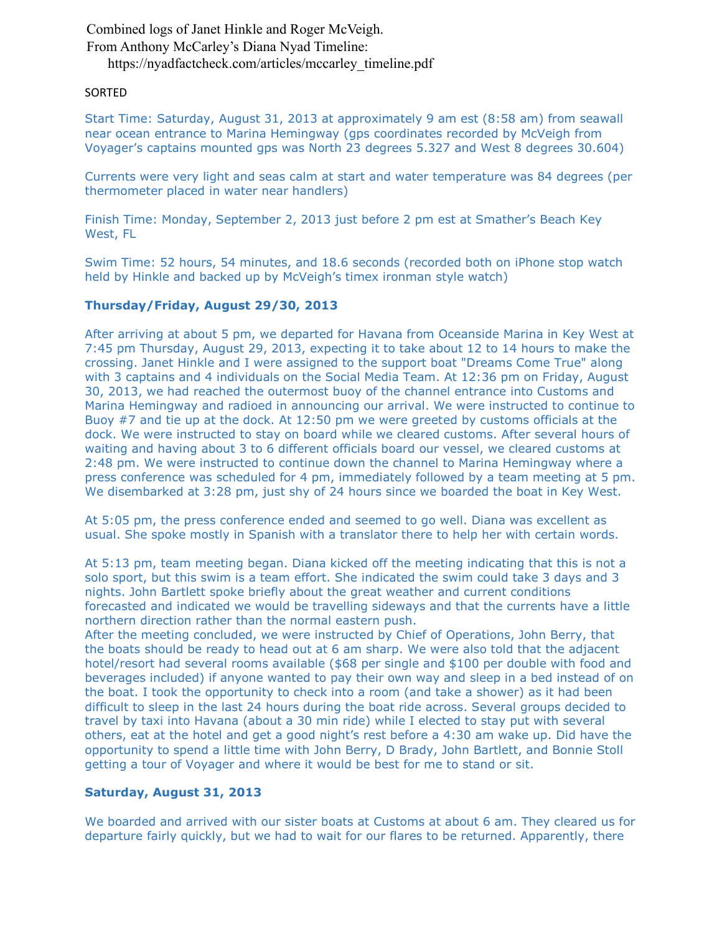Combined logs of Janet Hinkle and Roger McVeigh. From Anthony McCarley's Diana Nyad Timeline: https://nyadfactcheck.com/articles/mccarley\_timeline.pdf

### SORTED

Start Time: Saturday, August 31, 2013 at approximately 9 am est (8:58 am) from seawall near ocean entrance to Marina Hemingway (gps coordinates recorded by McVeigh from Voyager's captains mounted gps was North 23 degrees 5.327 and West 8 degrees 30.604)

Currents were very light and seas calm at start and water temperature was 84 degrees (per thermometer placed in water near handlers)

Finish Time: Monday, September 2, 2013 just before 2 pm est at Smather's Beach Key West, FL

Swim Time: 52 hours, 54 minutes, and 18.6 seconds (recorded both on iPhone stop watch held by Hinkle and backed up by McVeigh's timex ironman style watch)

## **Thursday/Friday, August 29/30, 2013**

After arriving at about 5 pm, we departed for Havana from Oceanside Marina in Key West at 7:45 pm Thursday, August 29, 2013, expecting it to take about 12 to 14 hours to make the crossing. Janet Hinkle and I were assigned to the support boat "Dreams Come True" along with 3 captains and 4 individuals on the Social Media Team. At 12:36 pm on Friday, August 30, 2013, we had reached the outermost buoy of the channel entrance into Customs and Marina Hemingway and radioed in announcing our arrival. We were instructed to continue to Buoy #7 and tie up at the dock. At 12:50 pm we were greeted by customs officials at the dock. We were instructed to stay on board while we cleared customs. After several hours of waiting and having about 3 to 6 different officials board our vessel, we cleared customs at 2:48 pm. We were instructed to continue down the channel to Marina Hemingway where a press conference was scheduled for 4 pm, immediately followed by a team meeting at 5 pm. We disembarked at 3:28 pm, just shy of 24 hours since we boarded the boat in Key West.

At 5:05 pm, the press conference ended and seemed to go well. Diana was excellent as usual. She spoke mostly in Spanish with a translator there to help her with certain words.

At 5:13 pm, team meeting began. Diana kicked off the meeting indicating that this is not a solo sport, but this swim is a team effort. She indicated the swim could take 3 days and 3 nights. John Bartlett spoke briefly about the great weather and current conditions forecasted and indicated we would be travelling sideways and that the currents have a little northern direction rather than the normal eastern push.

After the meeting concluded, we were instructed by Chief of Operations, John Berry, that the boats should be ready to head out at 6 am sharp. We were also told that the adjacent hotel/resort had several rooms available (\$68 per single and \$100 per double with food and beverages included) if anyone wanted to pay their own way and sleep in a bed instead of on the boat. I took the opportunity to check into a room (and take a shower) as it had been difficult to sleep in the last 24 hours during the boat ride across. Several groups decided to travel by taxi into Havana (about a 30 min ride) while I elected to stay put with several others, eat at the hotel and get a good night's rest before a 4:30 am wake up. Did have the opportunity to spend a little time with John Berry, D Brady, John Bartlett, and Bonnie Stoll getting a tour of Voyager and where it would be best for me to stand or sit.

## **Saturday, August 31, 2013**

We boarded and arrived with our sister boats at Customs at about 6 am. They cleared us for departure fairly quickly, but we had to wait for our flares to be returned. Apparently, there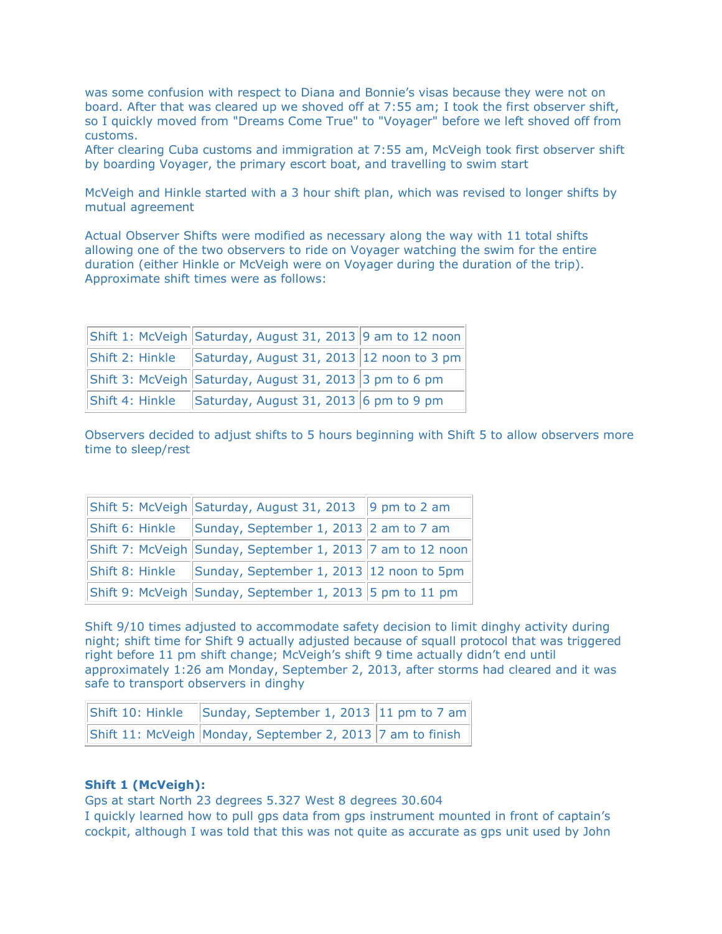was some confusion with respect to Diana and Bonnie's visas because they were not on board. After that was cleared up we shoved off at 7:55 am; I took the first observer shift, so I quickly moved from "Dreams Come True" to "Voyager" before we left shoved off from customs.

After clearing Cuba customs and immigration at 7:55 am, McVeigh took first observer shift by boarding Voyager, the primary escort boat, and travelling to swim start

McVeigh and Hinkle started with a 3 hour shift plan, which was revised to longer shifts by mutual agreement

Actual Observer Shifts were modified as necessary along the way with 11 total shifts allowing one of the two observers to ride on Voyager watching the swim for the entire duration (either Hinkle or McVeigh were on Voyager during the duration of the trip). Approximate shift times were as follows:

|                 | Shift 1: McVeigh Saturday, August 31, 2013 9 am to 12 noon |  |
|-----------------|------------------------------------------------------------|--|
|                 | Shift 2: Hinkle Saturday, August 31, 2013 12 noon to 3 pm  |  |
|                 | Shift 3: McVeigh Saturday, August 31, 2013 3 pm to 6 pm    |  |
| Shift 4: Hinkle | Saturday, August 31, 2013 6 pm to 9 pm                     |  |

Observers decided to adjust shifts to 5 hours beginning with Shift 5 to allow observers more time to sleep/rest

| Shift 5: McVeigh Saturday, August 31, 2013 9 pm to 2 am            |  |
|--------------------------------------------------------------------|--|
| Shift 6: Hinkle $\left\ $ Sunday, September 1, 2013 2 am to 7 am   |  |
| Shift 7: McVeigh Sunday, September 1, 2013 7 am to 12 noon         |  |
| Shift 8: Hinkle $\ $ Sunday, September 1, 2013 $\ $ 12 noon to 5pm |  |
| Shift 9: McVeigh Sunday, September 1, 2013 5 pm to 11 pm           |  |

Shift 9/10 times adjusted to accommodate safety decision to limit dinghy activity during night; shift time for Shift 9 actually adjusted because of squall protocol that was triggered right before 11 pm shift change; McVeigh's shift 9 time actually didn't end until approximately 1:26 am Monday, September 2, 2013, after storms had cleared and it was safe to transport observers in dinghy

| Shift 10: Hinkle Sunday, September 1, 2013 11 pm to 7 am          |  |
|-------------------------------------------------------------------|--|
| Shift 11: McVeigh Monday, September 2, 2013 $ 7$ am to finish $ $ |  |

### **Shift 1 (McVeigh):**

Gps at start North 23 degrees 5.327 West 8 degrees 30.604

I quickly learned how to pull gps data from gps instrument mounted in front of captain's cockpit, although I was told that this was not quite as accurate as gps unit used by John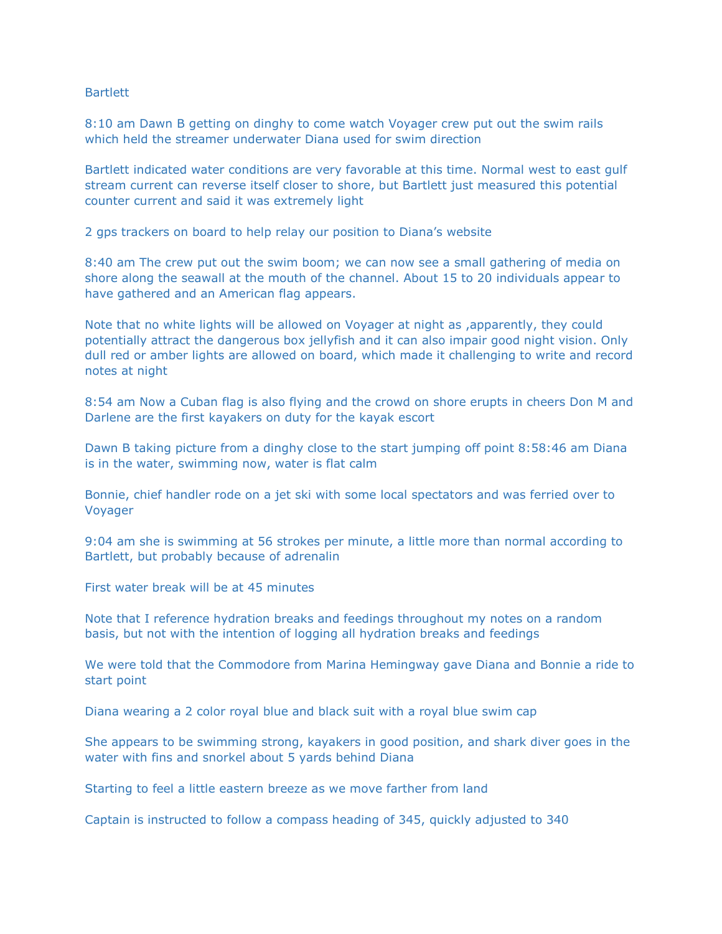### **Bartlett**

8:10 am Dawn B getting on dinghy to come watch Voyager crew put out the swim rails which held the streamer underwater Diana used for swim direction

Bartlett indicated water conditions are very favorable at this time. Normal west to east gulf stream current can reverse itself closer to shore, but Bartlett just measured this potential counter current and said it was extremely light

2 gps trackers on board to help relay our position to Diana's website

8:40 am The crew put out the swim boom; we can now see a small gathering of media on shore along the seawall at the mouth of the channel. About 15 to 20 individuals appear to have gathered and an American flag appears.

Note that no white lights will be allowed on Voyager at night as ,apparently, they could potentially attract the dangerous box jellyfish and it can also impair good night vision. Only dull red or amber lights are allowed on board, which made it challenging to write and record notes at night

8:54 am Now a Cuban flag is also flying and the crowd on shore erupts in cheers Don M and Darlene are the first kayakers on duty for the kayak escort

Dawn B taking picture from a dinghy close to the start jumping off point 8:58:46 am Diana is in the water, swimming now, water is flat calm

Bonnie, chief handler rode on a jet ski with some local spectators and was ferried over to Voyager

9:04 am she is swimming at 56 strokes per minute, a little more than normal according to Bartlett, but probably because of adrenalin

First water break will be at 45 minutes

Note that I reference hydration breaks and feedings throughout my notes on a random basis, but not with the intention of logging all hydration breaks and feedings

We were told that the Commodore from Marina Hemingway gave Diana and Bonnie a ride to start point

Diana wearing a 2 color royal blue and black suit with a royal blue swim cap

She appears to be swimming strong, kayakers in good position, and shark diver goes in the water with fins and snorkel about 5 yards behind Diana

Starting to feel a little eastern breeze as we move farther from land

Captain is instructed to follow a compass heading of 345, quickly adjusted to 340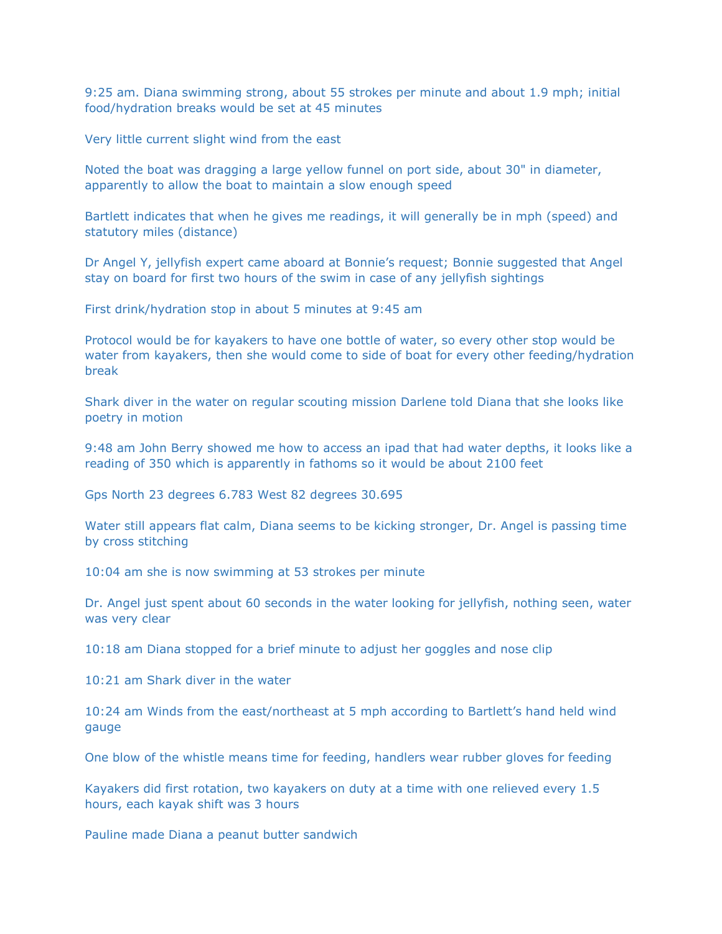9:25 am. Diana swimming strong, about 55 strokes per minute and about 1.9 mph; initial food/hydration breaks would be set at 45 minutes

Very little current slight wind from the east

Noted the boat was dragging a large yellow funnel on port side, about 30" in diameter, apparently to allow the boat to maintain a slow enough speed

Bartlett indicates that when he gives me readings, it will generally be in mph (speed) and statutory miles (distance)

Dr Angel Y, jellyfish expert came aboard at Bonnie's request; Bonnie suggested that Angel stay on board for first two hours of the swim in case of any jellyfish sightings

First drink/hydration stop in about 5 minutes at 9:45 am

Protocol would be for kayakers to have one bottle of water, so every other stop would be water from kayakers, then she would come to side of boat for every other feeding/hydration break

Shark diver in the water on regular scouting mission Darlene told Diana that she looks like poetry in motion

9:48 am John Berry showed me how to access an ipad that had water depths, it looks like a reading of 350 which is apparently in fathoms so it would be about 2100 feet

Gps North 23 degrees 6.783 West 82 degrees 30.695

Water still appears flat calm, Diana seems to be kicking stronger, Dr. Angel is passing time by cross stitching

10:04 am she is now swimming at 53 strokes per minute

Dr. Angel just spent about 60 seconds in the water looking for jellyfish, nothing seen, water was very clear

10:18 am Diana stopped for a brief minute to adjust her goggles and nose clip

10:21 am Shark diver in the water

10:24 am Winds from the east/northeast at 5 mph according to Bartlett's hand held wind gauge

One blow of the whistle means time for feeding, handlers wear rubber gloves for feeding

Kayakers did first rotation, two kayakers on duty at a time with one relieved every 1.5 hours, each kayak shift was 3 hours

Pauline made Diana a peanut butter sandwich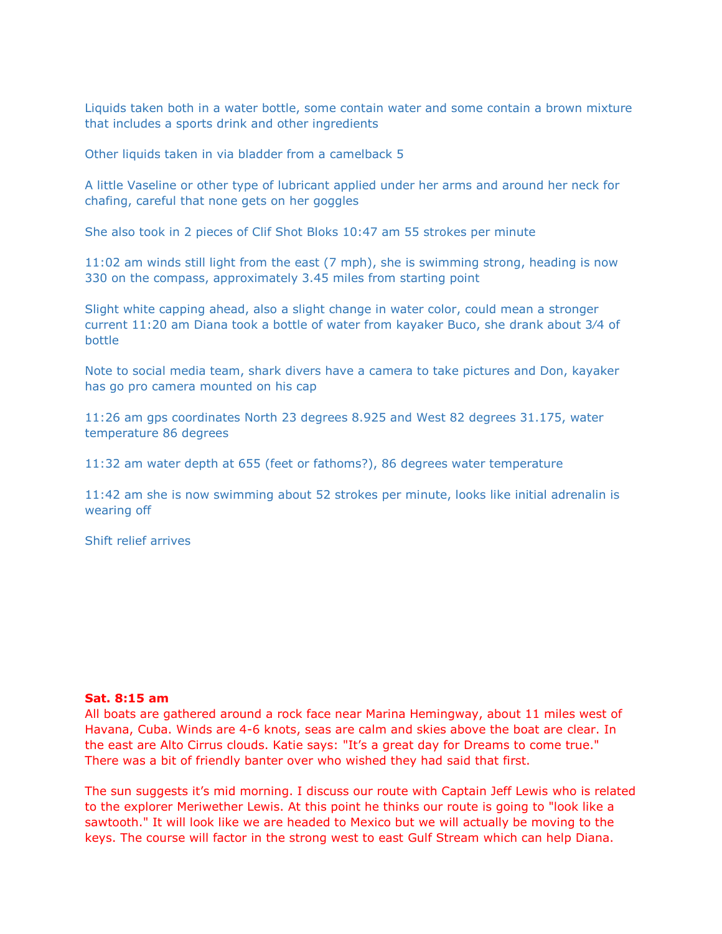Liquids taken both in a water bottle, some contain water and some contain a brown mixture that includes a sports drink and other ingredients

Other liquids taken in via bladder from a camelback 5

A little Vaseline or other type of lubricant applied under her arms and around her neck for chafing, careful that none gets on her goggles

She also took in 2 pieces of Clif Shot Bloks 10:47 am 55 strokes per minute

11:02 am winds still light from the east (7 mph), she is swimming strong, heading is now 330 on the compass, approximately 3.45 miles from starting point

Slight white capping ahead, also a slight change in water color, could mean a stronger current 11:20 am Diana took a bottle of water from kayaker Buco, she drank about 3⁄4 of bottle

Note to social media team, shark divers have a camera to take pictures and Don, kayaker has go pro camera mounted on his cap

11:26 am gps coordinates North 23 degrees 8.925 and West 82 degrees 31.175, water temperature 86 degrees

11:32 am water depth at 655 (feet or fathoms?), 86 degrees water temperature

11:42 am she is now swimming about 52 strokes per minute, looks like initial adrenalin is wearing off

Shift relief arrives

#### **Sat. 8:15 am**

All boats are gathered around a rock face near Marina Hemingway, about 11 miles west of Havana, Cuba. Winds are 4-6 knots, seas are calm and skies above the boat are clear. In the east are Alto Cirrus clouds. Katie says: "It's a great day for Dreams to come true." There was a bit of friendly banter over who wished they had said that first.

The sun suggests it's mid morning. I discuss our route with Captain Jeff Lewis who is related to the explorer Meriwether Lewis. At this point he thinks our route is going to "look like a sawtooth." It will look like we are headed to Mexico but we will actually be moving to the keys. The course will factor in the strong west to east Gulf Stream which can help Diana.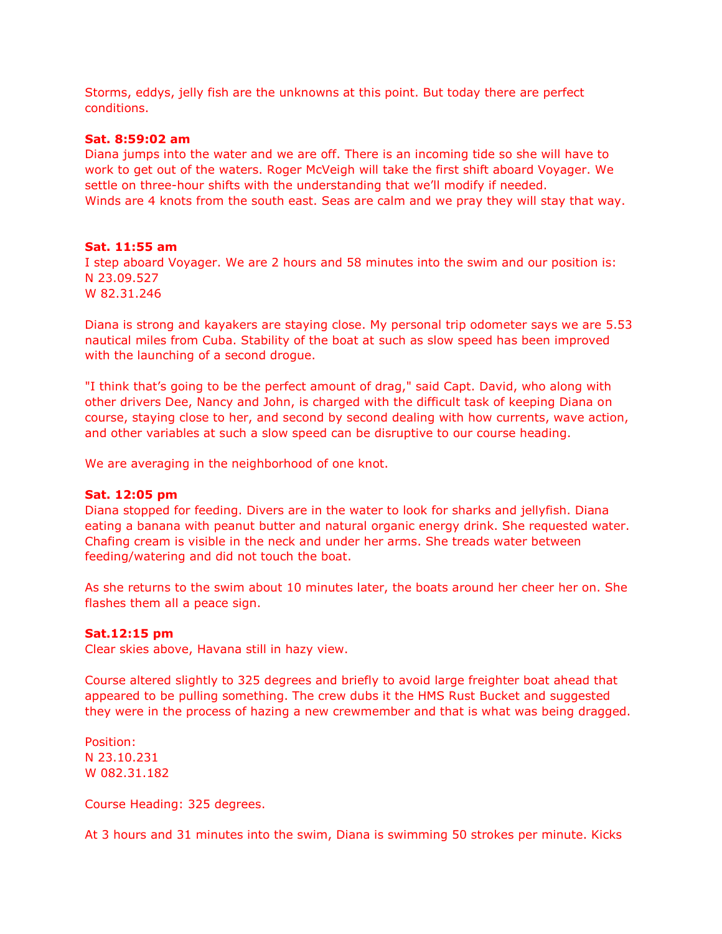Storms, eddys, jelly fish are the unknowns at this point. But today there are perfect conditions.

### **Sat. 8:59:02 am**

Diana jumps into the water and we are off. There is an incoming tide so she will have to work to get out of the waters. Roger McVeigh will take the first shift aboard Voyager. We settle on three-hour shifts with the understanding that we'll modify if needed. Winds are 4 knots from the south east. Seas are calm and we pray they will stay that way.

### **Sat. 11:55 am**

I step aboard Voyager. We are 2 hours and 58 minutes into the swim and our position is: N 23.09.527 W 82.31.246

Diana is strong and kayakers are staying close. My personal trip odometer says we are 5.53 nautical miles from Cuba. Stability of the boat at such as slow speed has been improved with the launching of a second drogue.

"I think that's going to be the perfect amount of drag," said Capt. David, who along with other drivers Dee, Nancy and John, is charged with the difficult task of keeping Diana on course, staying close to her, and second by second dealing with how currents, wave action, and other variables at such a slow speed can be disruptive to our course heading.

We are averaging in the neighborhood of one knot.

#### **Sat. 12:05 pm**

Diana stopped for feeding. Divers are in the water to look for sharks and jellyfish. Diana eating a banana with peanut butter and natural organic energy drink. She requested water. Chafing cream is visible in the neck and under her arms. She treads water between feeding/watering and did not touch the boat.

As she returns to the swim about 10 minutes later, the boats around her cheer her on. She flashes them all a peace sign.

### **Sat.12:15 pm**

Clear skies above, Havana still in hazy view.

Course altered slightly to 325 degrees and briefly to avoid large freighter boat ahead that appeared to be pulling something. The crew dubs it the HMS Rust Bucket and suggested they were in the process of hazing a new crewmember and that is what was being dragged.

Position: N 23.10.231 W 082.31.182

Course Heading: 325 degrees.

At 3 hours and 31 minutes into the swim, Diana is swimming 50 strokes per minute. Kicks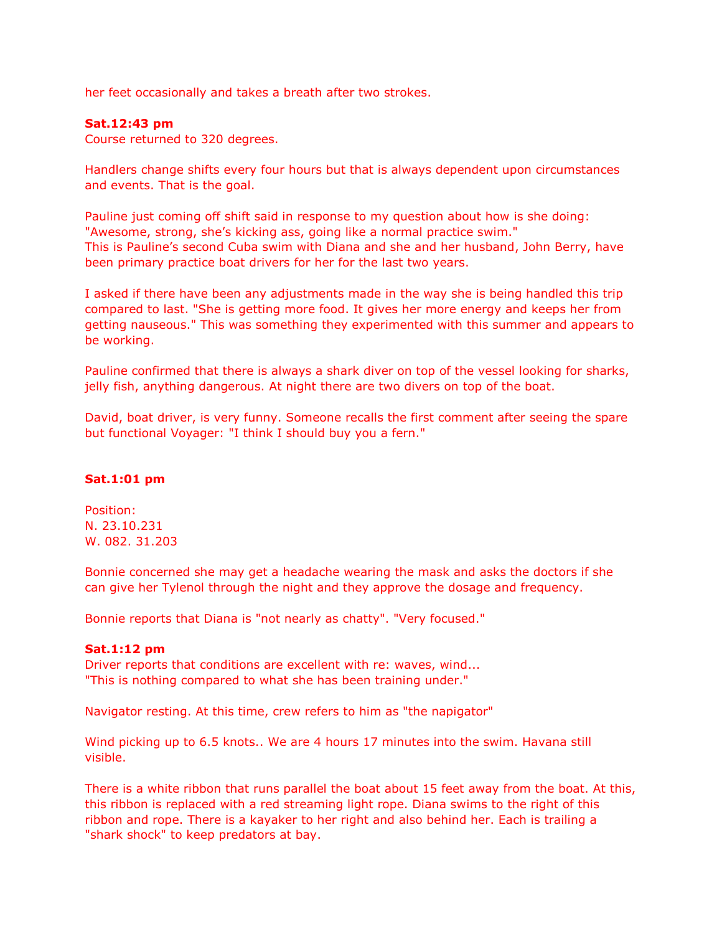her feet occasionally and takes a breath after two strokes.

### **Sat.12:43 pm**

Course returned to 320 degrees.

Handlers change shifts every four hours but that is always dependent upon circumstances and events. That is the goal.

Pauline just coming off shift said in response to my question about how is she doing: "Awesome, strong, she's kicking ass, going like a normal practice swim." This is Pauline's second Cuba swim with Diana and she and her husband, John Berry, have been primary practice boat drivers for her for the last two years.

I asked if there have been any adjustments made in the way she is being handled this trip compared to last. "She is getting more food. It gives her more energy and keeps her from getting nauseous." This was something they experimented with this summer and appears to be working.

Pauline confirmed that there is always a shark diver on top of the vessel looking for sharks, jelly fish, anything dangerous. At night there are two divers on top of the boat.

David, boat driver, is very funny. Someone recalls the first comment after seeing the spare but functional Voyager: "I think I should buy you a fern."

## **Sat.1:01 pm**

Position: N. 23.10.231 W. 082. 31.203

Bonnie concerned she may get a headache wearing the mask and asks the doctors if she can give her Tylenol through the night and they approve the dosage and frequency.

Bonnie reports that Diana is "not nearly as chatty". "Very focused."

### **Sat.1:12 pm**

Driver reports that conditions are excellent with re: waves, wind... "This is nothing compared to what she has been training under."

Navigator resting. At this time, crew refers to him as "the napigator"

Wind picking up to 6.5 knots.. We are 4 hours 17 minutes into the swim. Havana still visible.

There is a white ribbon that runs parallel the boat about 15 feet away from the boat. At this, this ribbon is replaced with a red streaming light rope. Diana swims to the right of this ribbon and rope. There is a kayaker to her right and also behind her. Each is trailing a "shark shock" to keep predators at bay.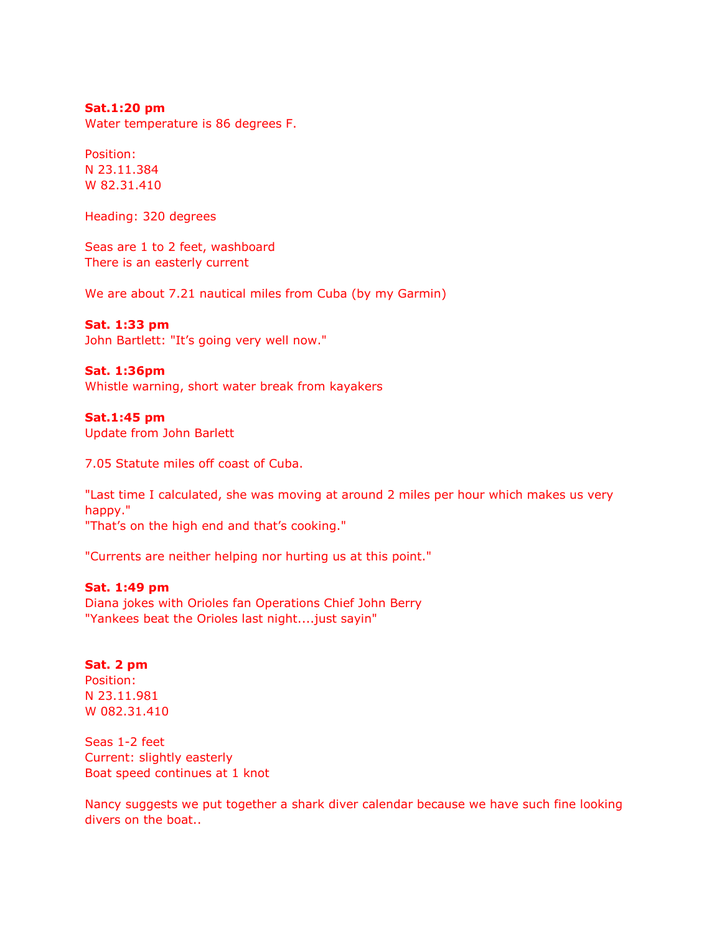### **Sat.1:20 pm**

Water temperature is 86 degrees F.

Position: N 23.11.384 W 82.31.410

Heading: 320 degrees

Seas are 1 to 2 feet, washboard There is an easterly current

We are about 7.21 nautical miles from Cuba (by my Garmin)

### **Sat. 1:33 pm**

John Bartlett: "It's going very well now."

### **Sat. 1:36pm**

Whistle warning, short water break from kayakers

## **Sat.1:45 pm**

Update from John Barlett

7.05 Statute miles off coast of Cuba.

"Last time I calculated, she was moving at around 2 miles per hour which makes us very happy." "That's on the high end and that's cooking."

"Currents are neither helping nor hurting us at this point."

### **Sat. 1:49 pm**

Diana jokes with Orioles fan Operations Chief John Berry "Yankees beat the Orioles last night....just sayin"

### **Sat. 2 pm**

Position: N 23.11.981 W 082.31.410

Seas 1-2 feet Current: slightly easterly Boat speed continues at 1 knot

Nancy suggests we put together a shark diver calendar because we have such fine looking divers on the boat..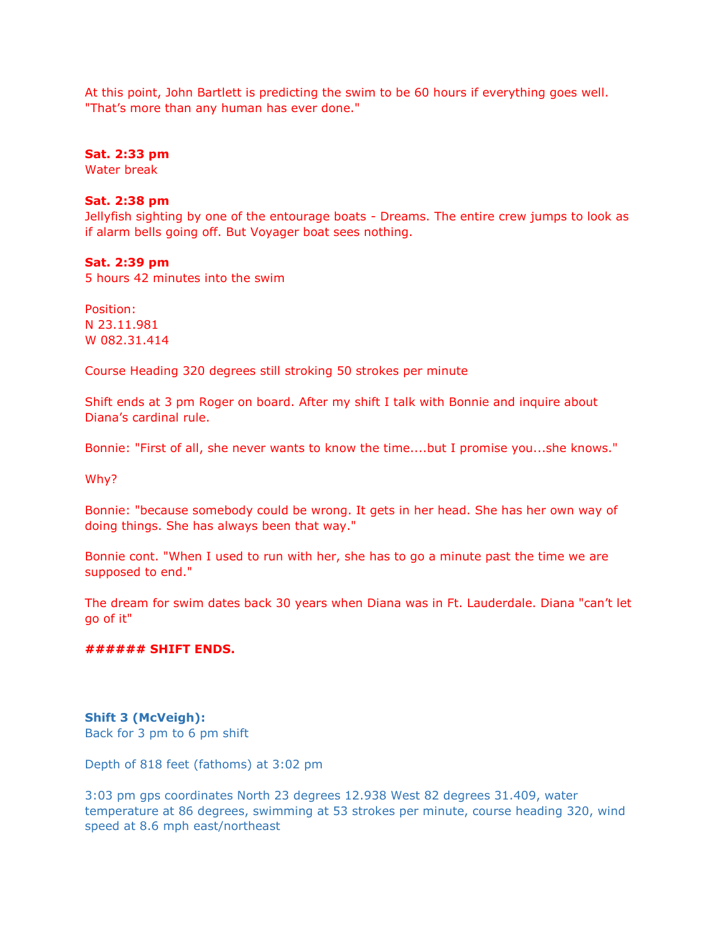At this point, John Bartlett is predicting the swim to be 60 hours if everything goes well. "That's more than any human has ever done."

### **Sat. 2:33 pm**

Water break

## **Sat. 2:38 pm**

Jellyfish sighting by one of the entourage boats - Dreams. The entire crew jumps to look as if alarm bells going off. But Voyager boat sees nothing.

## **Sat. 2:39 pm**

5 hours 42 minutes into the swim

Position: N 23.11.981 W 082.31.414

Course Heading 320 degrees still stroking 50 strokes per minute

Shift ends at 3 pm Roger on board. After my shift I talk with Bonnie and inquire about Diana's cardinal rule.

Bonnie: "First of all, she never wants to know the time....but I promise you...she knows."

Why?

Bonnie: "because somebody could be wrong. It gets in her head. She has her own way of doing things. She has always been that way."

Bonnie cont. "When I used to run with her, she has to go a minute past the time we are supposed to end."

The dream for swim dates back 30 years when Diana was in Ft. Lauderdale. Diana "can't let go of it"

### **###### SHIFT ENDS.**

## **Shift 3 (McVeigh):**

Back for 3 pm to 6 pm shift

Depth of 818 feet (fathoms) at 3:02 pm

3:03 pm gps coordinates North 23 degrees 12.938 West 82 degrees 31.409, water temperature at 86 degrees, swimming at 53 strokes per minute, course heading 320, wind speed at 8.6 mph east/northeast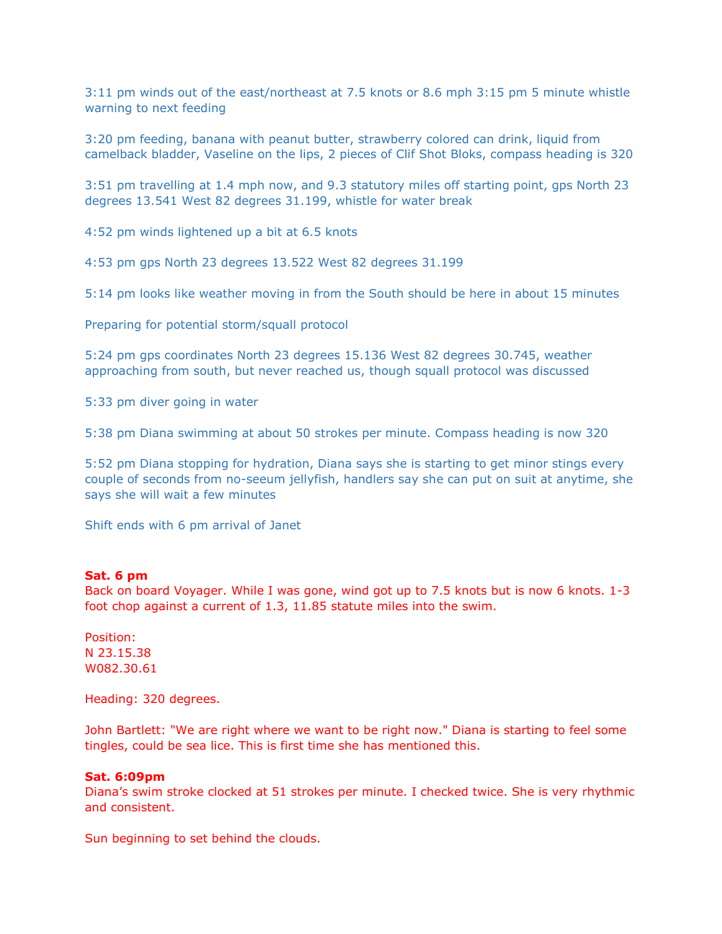3:11 pm winds out of the east/northeast at 7.5 knots or 8.6 mph 3:15 pm 5 minute whistle warning to next feeding

3:20 pm feeding, banana with peanut butter, strawberry colored can drink, liquid from camelback bladder, Vaseline on the lips, 2 pieces of Clif Shot Bloks, compass heading is 320

3:51 pm travelling at 1.4 mph now, and 9.3 statutory miles off starting point, gps North 23 degrees 13.541 West 82 degrees 31.199, whistle for water break

4:52 pm winds lightened up a bit at 6.5 knots

4:53 pm gps North 23 degrees 13.522 West 82 degrees 31.199

5:14 pm looks like weather moving in from the South should be here in about 15 minutes

Preparing for potential storm/squall protocol

5:24 pm gps coordinates North 23 degrees 15.136 West 82 degrees 30.745, weather approaching from south, but never reached us, though squall protocol was discussed

5:33 pm diver going in water

5:38 pm Diana swimming at about 50 strokes per minute. Compass heading is now 320

5:52 pm Diana stopping for hydration, Diana says she is starting to get minor stings every couple of seconds from no-seeum jellyfish, handlers say she can put on suit at anytime, she says she will wait a few minutes

Shift ends with 6 pm arrival of Janet

### **Sat. 6 pm**

Back on board Voyager. While I was gone, wind got up to 7.5 knots but is now 6 knots. 1-3 foot chop against a current of 1.3, 11.85 statute miles into the swim.

Position: N 23.15.38 W082.30.61

Heading: 320 degrees.

John Bartlett: "We are right where we want to be right now." Diana is starting to feel some tingles, could be sea lice. This is first time she has mentioned this.

### **Sat. 6:09pm**

Diana's swim stroke clocked at 51 strokes per minute. I checked twice. She is very rhythmic and consistent.

Sun beginning to set behind the clouds.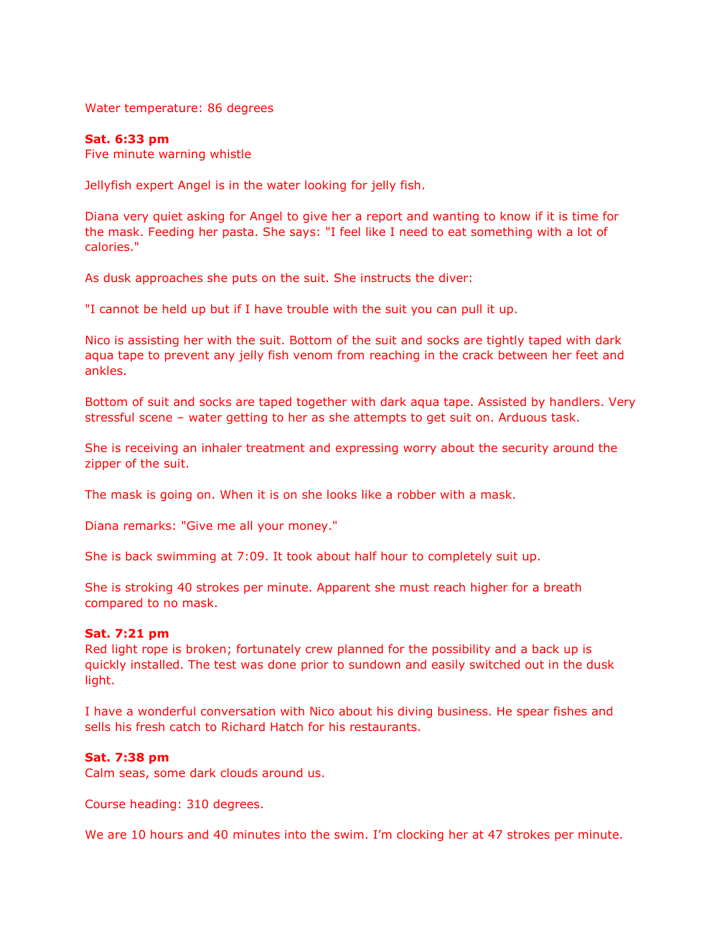Water temperature: 86 degrees

### **Sat. 6:33 pm**

Five minute warning whistle

Jellyfish expert Angel is in the water looking for jelly fish.

Diana very quiet asking for Angel to give her a report and wanting to know if it is time for the mask. Feeding her pasta. She says: "I feel like I need to eat something with a lot of calories."

As dusk approaches she puts on the suit. She instructs the diver:

"I cannot be held up but if I have trouble with the suit you can pull it up.

Nico is assisting her with the suit. Bottom of the suit and socks are tightly taped with dark aqua tape to prevent any jelly fish venom from reaching in the crack between her feet and ankles.

Bottom of suit and socks are taped together with dark aqua tape. Assisted by handlers. Very stressful scene – water getting to her as she attempts to get suit on. Arduous task.

She is receiving an inhaler treatment and expressing worry about the security around the zipper of the suit.

The mask is going on. When it is on she looks like a robber with a mask.

Diana remarks: "Give me all your money."

She is back swimming at 7:09. It took about half hour to completely suit up.

She is stroking 40 strokes per minute. Apparent she must reach higher for a breath compared to no mask.

## **Sat. 7:21 pm**

Red light rope is broken; fortunately crew planned for the possibility and a back up is quickly installed. The test was done prior to sundown and easily switched out in the dusk light.

I have a wonderful conversation with Nico about his diving business. He spear fishes and sells his fresh catch to Richard Hatch for his restaurants.

### **Sat. 7:38 pm**

Calm seas, some dark clouds around us.

Course heading: 310 degrees.

We are 10 hours and 40 minutes into the swim. I'm clocking her at 47 strokes per minute.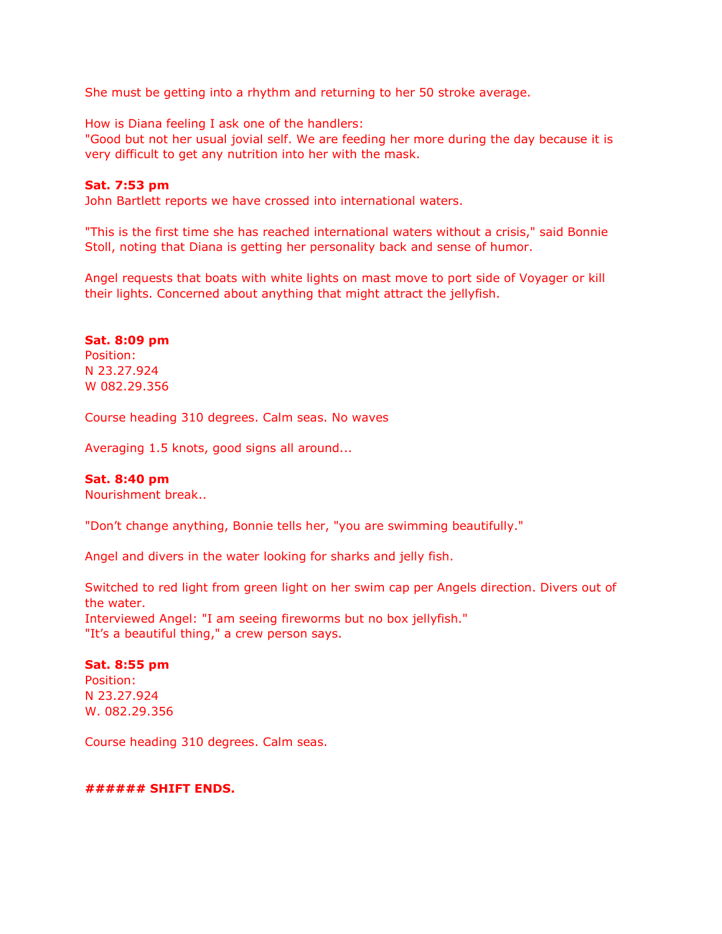She must be getting into a rhythm and returning to her 50 stroke average.

How is Diana feeling I ask one of the handlers:

"Good but not her usual jovial self. We are feeding her more during the day because it is very difficult to get any nutrition into her with the mask.

### **Sat. 7:53 pm**

John Bartlett reports we have crossed into international waters.

"This is the first time she has reached international waters without a crisis," said Bonnie Stoll, noting that Diana is getting her personality back and sense of humor.

Angel requests that boats with white lights on mast move to port side of Voyager or kill their lights. Concerned about anything that might attract the jellyfish.

### **Sat. 8:09 pm**

Position: N 23.27.924 W 082.29.356

Course heading 310 degrees. Calm seas. No waves

Averaging 1.5 knots, good signs all around...

### **Sat. 8:40 pm**

Nourishment break..

"Don't change anything, Bonnie tells her, "you are swimming beautifully."

Angel and divers in the water looking for sharks and jelly fish.

Switched to red light from green light on her swim cap per Angels direction. Divers out of the water. Interviewed Angel: "I am seeing fireworms but no box jellyfish." "It's a beautiful thing," a crew person says.

## **Sat. 8:55 pm**

Position: N 23.27.924 W. 082.29.356

Course heading 310 degrees. Calm seas.

### **###### SHIFT ENDS.**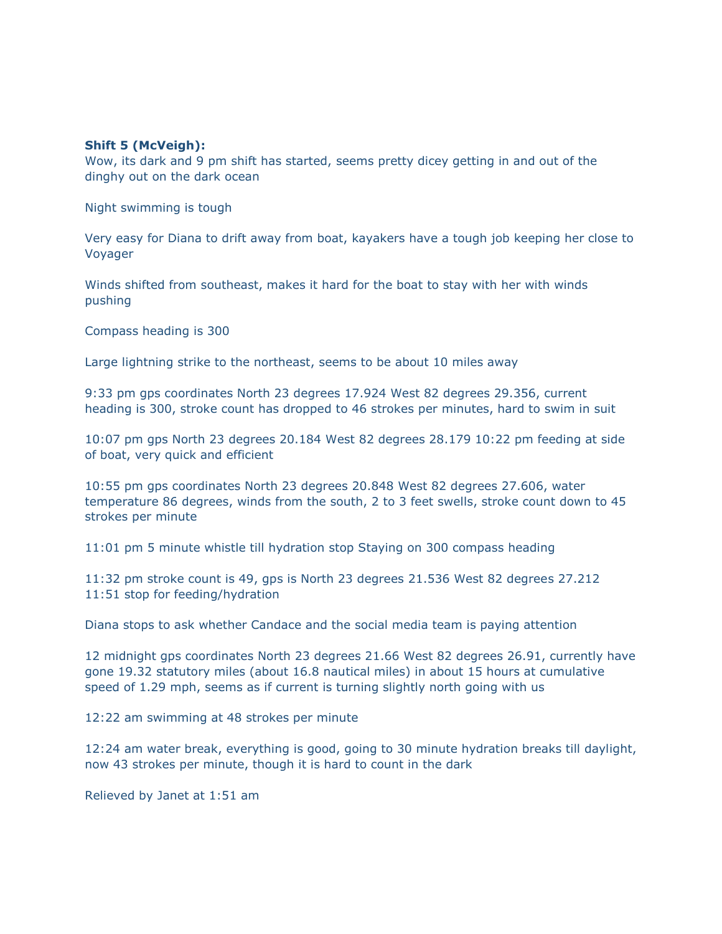### **Shift 5 (McVeigh):**

Wow, its dark and 9 pm shift has started, seems pretty dicey getting in and out of the dinghy out on the dark ocean

Night swimming is tough

Very easy for Diana to drift away from boat, kayakers have a tough job keeping her close to Voyager

Winds shifted from southeast, makes it hard for the boat to stay with her with winds pushing

Compass heading is 300

Large lightning strike to the northeast, seems to be about 10 miles away

9:33 pm gps coordinates North 23 degrees 17.924 West 82 degrees 29.356, current heading is 300, stroke count has dropped to 46 strokes per minutes, hard to swim in suit

10:07 pm gps North 23 degrees 20.184 West 82 degrees 28.179 10:22 pm feeding at side of boat, very quick and efficient

10:55 pm gps coordinates North 23 degrees 20.848 West 82 degrees 27.606, water temperature 86 degrees, winds from the south, 2 to 3 feet swells, stroke count down to 45 strokes per minute

11:01 pm 5 minute whistle till hydration stop Staying on 300 compass heading

11:32 pm stroke count is 49, gps is North 23 degrees 21.536 West 82 degrees 27.212 11:51 stop for feeding/hydration

Diana stops to ask whether Candace and the social media team is paying attention

12 midnight gps coordinates North 23 degrees 21.66 West 82 degrees 26.91, currently have gone 19.32 statutory miles (about 16.8 nautical miles) in about 15 hours at cumulative speed of 1.29 mph, seems as if current is turning slightly north going with us

12:22 am swimming at 48 strokes per minute

12:24 am water break, everything is good, going to 30 minute hydration breaks till daylight, now 43 strokes per minute, though it is hard to count in the dark

Relieved by Janet at 1:51 am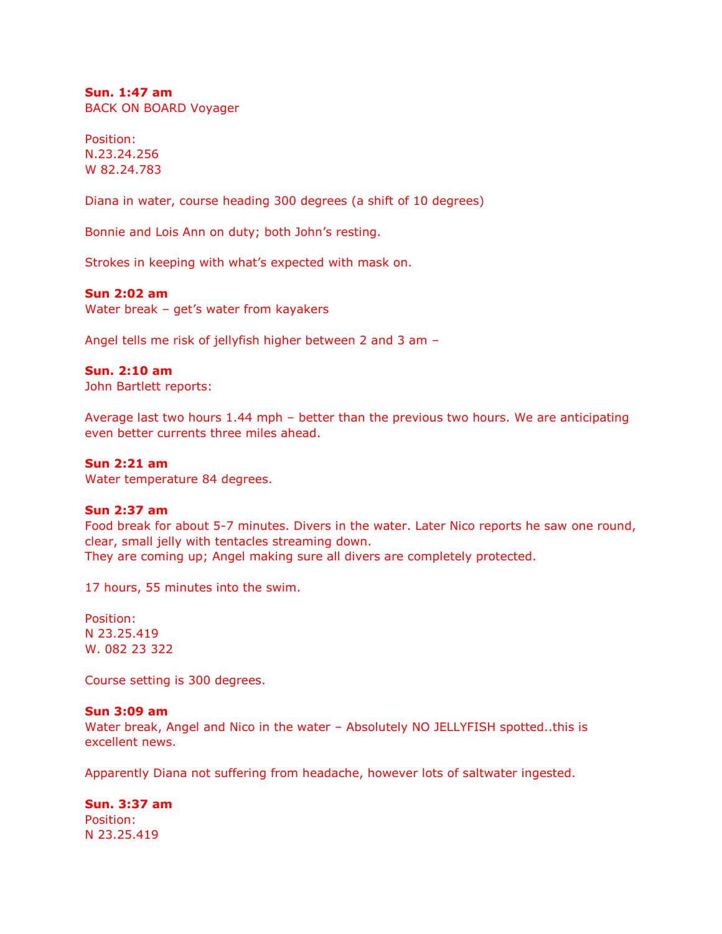**Sun. 1:47 am** BACK ON BOARD Voyager

Position: N.23.24.256 W 82.24.783

Diana in water, course heading 300 degrees (a shift of 10 degrees)

Bonnie and Lois Ann on duty; both John's resting.

Strokes in keeping with what's expected with mask on.

## **Sun 2:02 am**

Water break – get's water from kayakers

Angel tells me risk of jellyfish higher between 2 and 3 am –

### **Sun. 2:10 am**

John Bartlett reports:

Average last two hours 1.44 mph – better than the previous two hours. We are anticipating even better currents three miles ahead.

#### **Sun 2:21 am**

Water temperature 84 degrees.

### **Sun 2:37 am**

Food break for about 5-7 minutes. Divers in the water. Later Nico reports he saw one round, clear, small jelly with tentacles streaming down. They are coming up; Angel making sure all divers are completely protected.

17 hours, 55 minutes into the swim.

Position: N 23.25.419 W. 082 23 322

Course setting is 300 degrees.

### **Sun 3:09 am**

Water break, Angel and Nico in the water - Absolutely NO JELLYFISH spotted..this is excellent news.

Apparently Diana not suffering from headache, however lots of saltwater ingested.

**Sun. 3:37 am**  Position: N 23.25.419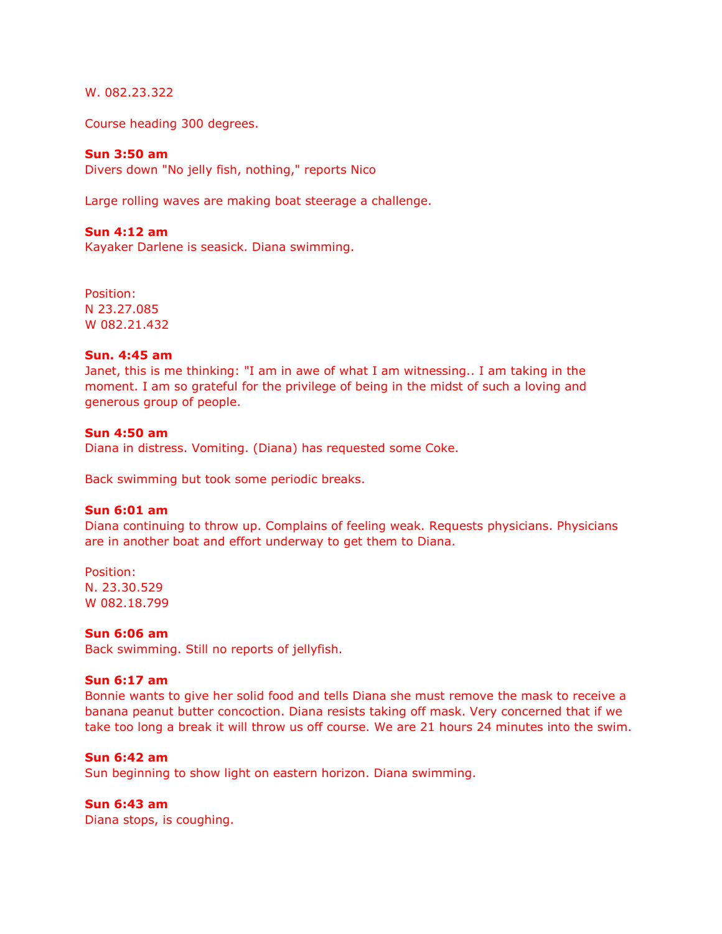W. 082.23.322

Course heading 300 degrees.

### **Sun 3:50 am**

Divers down "No jelly fish, nothing," reports Nico

Large rolling waves are making boat steerage a challenge.

### **Sun 4:12 am**

Kayaker Darlene is seasick. Diana swimming.

Position: N 23.27.085 W 082.21.432

### **Sun. 4:45 am**

Janet, this is me thinking: "I am in awe of what I am witnessing.. I am taking in the moment. I am so grateful for the privilege of being in the midst of such a loving and generous group of people.

#### **Sun 4:50 am**

Diana in distress. Vomiting. (Diana) has requested some Coke.

Back swimming but took some periodic breaks.

#### **Sun 6:01 am**

Diana continuing to throw up. Complains of feeling weak. Requests physicians. Physicians are in another boat and effort underway to get them to Diana.

Position: N. 23.30.529 W 082.18.799

#### **Sun 6:06 am**

Back swimming. Still no reports of jellyfish.

## **Sun 6:17 am**

Bonnie wants to give her solid food and tells Diana she must remove the mask to receive a banana peanut butter concoction. Diana resists taking off mask. Very concerned that if we take too long a break it will throw us off course. We are 21 hours 24 minutes into the swim.

## **Sun 6:42 am**

Sun beginning to show light on eastern horizon. Diana swimming.

### **Sun 6:43 am**

Diana stops, is coughing.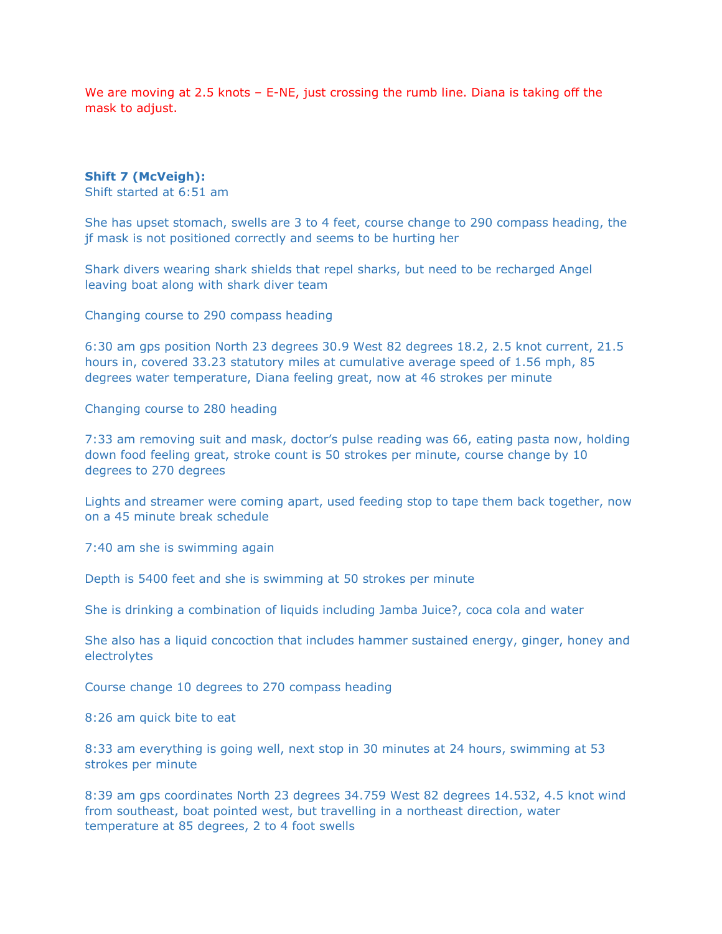We are moving at 2.5 knots – E-NE, just crossing the rumb line. Diana is taking off the mask to adjust.

### **Shift 7 (McVeigh):**

Shift started at 6:51 am

She has upset stomach, swells are 3 to 4 feet, course change to 290 compass heading, the jf mask is not positioned correctly and seems to be hurting her

Shark divers wearing shark shields that repel sharks, but need to be recharged Angel leaving boat along with shark diver team

Changing course to 290 compass heading

6:30 am gps position North 23 degrees 30.9 West 82 degrees 18.2, 2.5 knot current, 21.5 hours in, covered 33.23 statutory miles at cumulative average speed of 1.56 mph, 85 degrees water temperature, Diana feeling great, now at 46 strokes per minute

Changing course to 280 heading

7:33 am removing suit and mask, doctor's pulse reading was 66, eating pasta now, holding down food feeling great, stroke count is 50 strokes per minute, course change by 10 degrees to 270 degrees

Lights and streamer were coming apart, used feeding stop to tape them back together, now on a 45 minute break schedule

7:40 am she is swimming again

Depth is 5400 feet and she is swimming at 50 strokes per minute

She is drinking a combination of liquids including Jamba Juice?, coca cola and water

She also has a liquid concoction that includes hammer sustained energy, ginger, honey and electrolytes

Course change 10 degrees to 270 compass heading

8:26 am quick bite to eat

8:33 am everything is going well, next stop in 30 minutes at 24 hours, swimming at 53 strokes per minute

8:39 am gps coordinates North 23 degrees 34.759 West 82 degrees 14.532, 4.5 knot wind from southeast, boat pointed west, but travelling in a northeast direction, water temperature at 85 degrees, 2 to 4 foot swells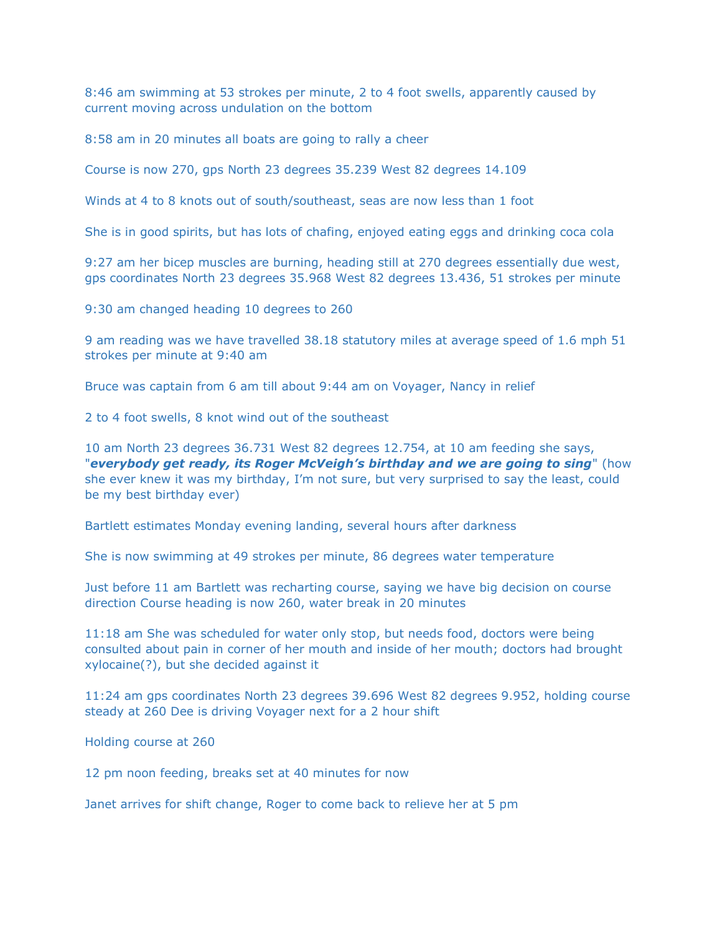8:46 am swimming at 53 strokes per minute, 2 to 4 foot swells, apparently caused by current moving across undulation on the bottom

8:58 am in 20 minutes all boats are going to rally a cheer

Course is now 270, gps North 23 degrees 35.239 West 82 degrees 14.109

Winds at 4 to 8 knots out of south/southeast, seas are now less than 1 foot

She is in good spirits, but has lots of chafing, enjoyed eating eggs and drinking coca cola

9:27 am her bicep muscles are burning, heading still at 270 degrees essentially due west, gps coordinates North 23 degrees 35.968 West 82 degrees 13.436, 51 strokes per minute

9:30 am changed heading 10 degrees to 260

9 am reading was we have travelled 38.18 statutory miles at average speed of 1.6 mph 51 strokes per minute at 9:40 am

Bruce was captain from 6 am till about 9:44 am on Voyager, Nancy in relief

2 to 4 foot swells, 8 knot wind out of the southeast

10 am North 23 degrees 36.731 West 82 degrees 12.754, at 10 am feeding she says, "*everybody get ready, its Roger McVeigh's birthday and we are going to sing*" (how she ever knew it was my birthday, I'm not sure, but very surprised to say the least, could be my best birthday ever)

Bartlett estimates Monday evening landing, several hours after darkness

She is now swimming at 49 strokes per minute, 86 degrees water temperature

Just before 11 am Bartlett was recharting course, saying we have big decision on course direction Course heading is now 260, water break in 20 minutes

11:18 am She was scheduled for water only stop, but needs food, doctors were being consulted about pain in corner of her mouth and inside of her mouth; doctors had brought xylocaine(?), but she decided against it

11:24 am gps coordinates North 23 degrees 39.696 West 82 degrees 9.952, holding course steady at 260 Dee is driving Voyager next for a 2 hour shift

Holding course at 260

12 pm noon feeding, breaks set at 40 minutes for now

Janet arrives for shift change, Roger to come back to relieve her at 5 pm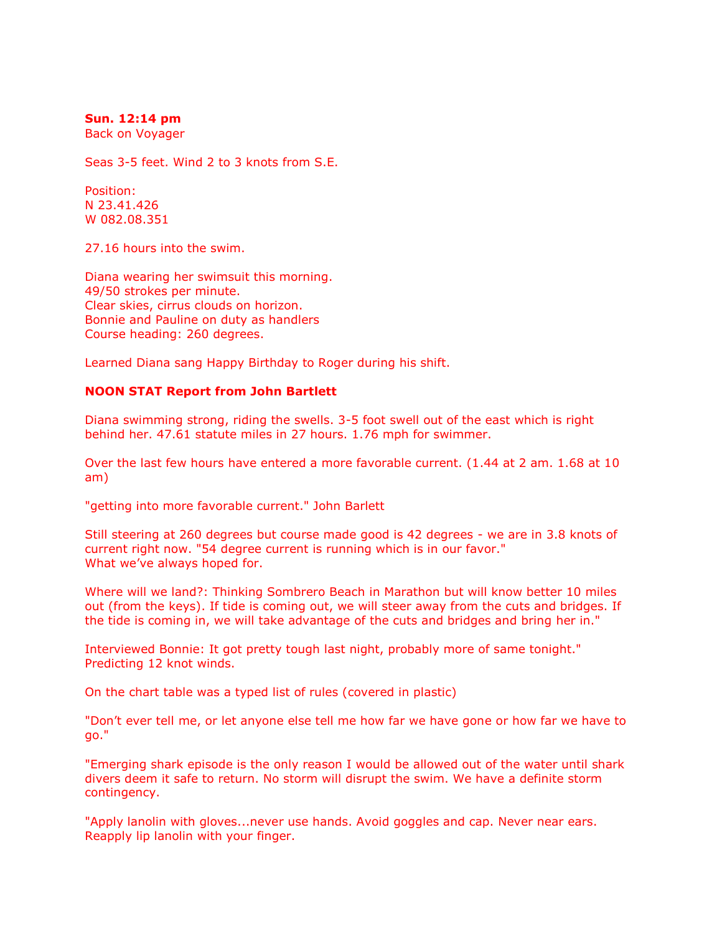### **Sun. 12:14 pm**

Back on Voyager

Seas 3-5 feet. Wind 2 to 3 knots from S.E.

Position: N 23.41.426 W 082.08.351

27.16 hours into the swim.

Diana wearing her swimsuit this morning. 49/50 strokes per minute. Clear skies, cirrus clouds on horizon. Bonnie and Pauline on duty as handlers Course heading: 260 degrees.

Learned Diana sang Happy Birthday to Roger during his shift.

### **NOON STAT Report from John Bartlett**

Diana swimming strong, riding the swells. 3-5 foot swell out of the east which is right behind her. 47.61 statute miles in 27 hours. 1.76 mph for swimmer.

Over the last few hours have entered a more favorable current. (1.44 at 2 am. 1.68 at 10 am)

"getting into more favorable current." John Barlett

Still steering at 260 degrees but course made good is 42 degrees - we are in 3.8 knots of current right now. "54 degree current is running which is in our favor." What we've always hoped for.

Where will we land?: Thinking Sombrero Beach in Marathon but will know better 10 miles out (from the keys). If tide is coming out, we will steer away from the cuts and bridges. If the tide is coming in, we will take advantage of the cuts and bridges and bring her in."

Interviewed Bonnie: It got pretty tough last night, probably more of same tonight." Predicting 12 knot winds.

On the chart table was a typed list of rules (covered in plastic)

"Don't ever tell me, or let anyone else tell me how far we have gone or how far we have to go."

"Emerging shark episode is the only reason I would be allowed out of the water until shark divers deem it safe to return. No storm will disrupt the swim. We have a definite storm contingency.

"Apply lanolin with gloves...never use hands. Avoid goggles and cap. Never near ears. Reapply lip lanolin with your finger.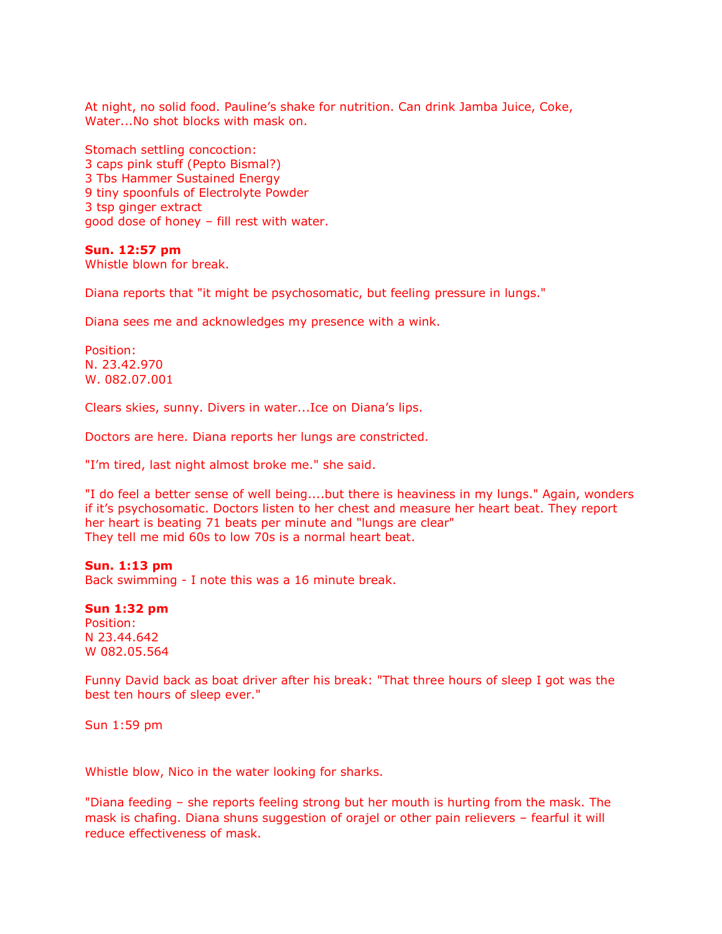At night, no solid food. Pauline's shake for nutrition. Can drink Jamba Juice, Coke, Water...No shot blocks with mask on.

Stomach settling concoction: 3 caps pink stuff (Pepto Bismal?) 3 Tbs Hammer Sustained Energy 9 tiny spoonfuls of Electrolyte Powder 3 tsp ginger extract good dose of honey – fill rest with water.

### **Sun. 12:57 pm**

Whistle blown for break.

Diana reports that "it might be psychosomatic, but feeling pressure in lungs."

Diana sees me and acknowledges my presence with a wink.

Position: N. 23.42.970 W. 082.07.001

Clears skies, sunny. Divers in water...Ice on Diana's lips.

Doctors are here. Diana reports her lungs are constricted.

"I'm tired, last night almost broke me." she said.

"I do feel a better sense of well being....but there is heaviness in my lungs." Again, wonders if it's psychosomatic. Doctors listen to her chest and measure her heart beat. They report her heart is beating 71 beats per minute and "lungs are clear" They tell me mid 60s to low 70s is a normal heart beat.

### **Sun. 1:13 pm**

Back swimming - I note this was a 16 minute break.

#### **Sun 1:32 pm**

Position: N 23.44.642 W 082.05.564

Funny David back as boat driver after his break: "That three hours of sleep I got was the best ten hours of sleep ever."

Sun 1:59 pm

Whistle blow, Nico in the water looking for sharks.

"Diana feeding – she reports feeling strong but her mouth is hurting from the mask. The mask is chafing. Diana shuns suggestion of orajel or other pain relievers – fearful it will reduce effectiveness of mask.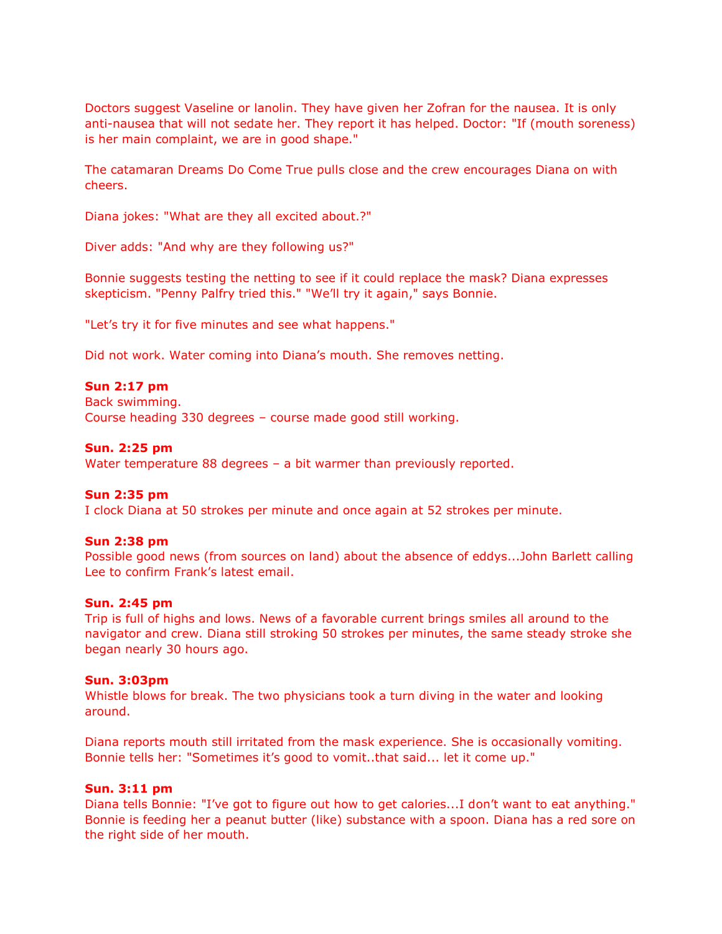Doctors suggest Vaseline or lanolin. They have given her Zofran for the nausea. It is only anti-nausea that will not sedate her. They report it has helped. Doctor: "If (mouth soreness) is her main complaint, we are in good shape."

The catamaran Dreams Do Come True pulls close and the crew encourages Diana on with cheers.

Diana jokes: "What are they all excited about.?"

Diver adds: "And why are they following us?"

Bonnie suggests testing the netting to see if it could replace the mask? Diana expresses skepticism. "Penny Palfry tried this." "We'll try it again," says Bonnie.

"Let's try it for five minutes and see what happens."

Did not work. Water coming into Diana's mouth. She removes netting.

### **Sun 2:17 pm**

Back swimming.

Course heading 330 degrees – course made good still working.

### **Sun. 2:25 pm**

Water temperature 88 degrees – a bit warmer than previously reported.

#### **Sun 2:35 pm**

I clock Diana at 50 strokes per minute and once again at 52 strokes per minute.

#### **Sun 2:38 pm**

Possible good news (from sources on land) about the absence of eddys...John Barlett calling Lee to confirm Frank's latest email.

## **Sun. 2:45 pm**

Trip is full of highs and lows. News of a favorable current brings smiles all around to the navigator and crew. Diana still stroking 50 strokes per minutes, the same steady stroke she began nearly 30 hours ago.

### **Sun. 3:03pm**

Whistle blows for break. The two physicians took a turn diving in the water and looking around.

Diana reports mouth still irritated from the mask experience. She is occasionally vomiting. Bonnie tells her: "Sometimes it's good to vomit..that said... let it come up."

### **Sun. 3:11 pm**

Diana tells Bonnie: "I've got to figure out how to get calories...I don't want to eat anything." Bonnie is feeding her a peanut butter (like) substance with a spoon. Diana has a red sore on the right side of her mouth.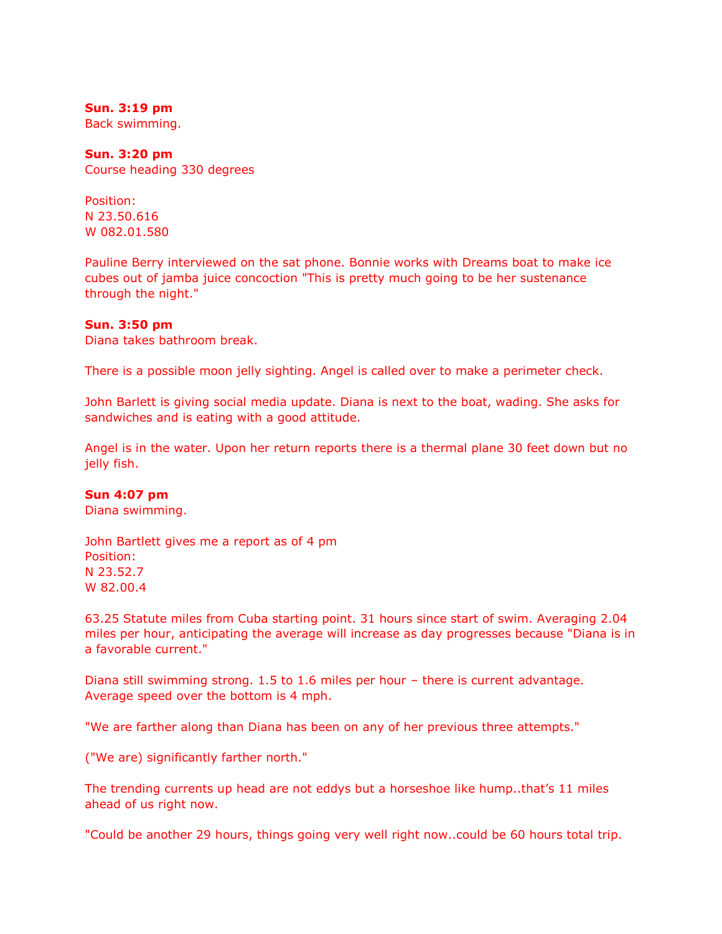**Sun. 3:19 pm** Back swimming.

**Sun. 3:20 pm** Course heading 330 degrees

Position: N 23.50.616 W 082.01.580

Pauline Berry interviewed on the sat phone. Bonnie works with Dreams boat to make ice cubes out of jamba juice concoction "This is pretty much going to be her sustenance through the night."

### **Sun. 3:50 pm**

Diana takes bathroom break.

There is a possible moon jelly sighting. Angel is called over to make a perimeter check.

John Barlett is giving social media update. Diana is next to the boat, wading. She asks for sandwiches and is eating with a good attitude.

Angel is in the water. Upon her return reports there is a thermal plane 30 feet down but no jelly fish.

### **Sun 4:07 pm**

Diana swimming.

John Bartlett gives me a report as of 4 pm Position: N 23.52.7 W 82.00.4

63.25 Statute miles from Cuba starting point. 31 hours since start of swim. Averaging 2.04 miles per hour, anticipating the average will increase as day progresses because "Diana is in a favorable current."

Diana still swimming strong. 1.5 to 1.6 miles per hour – there is current advantage. Average speed over the bottom is 4 mph.

"We are farther along than Diana has been on any of her previous three attempts."

("We are) significantly farther north."

The trending currents up head are not eddys but a horseshoe like hump..that's 11 miles ahead of us right now.

"Could be another 29 hours, things going very well right now..could be 60 hours total trip.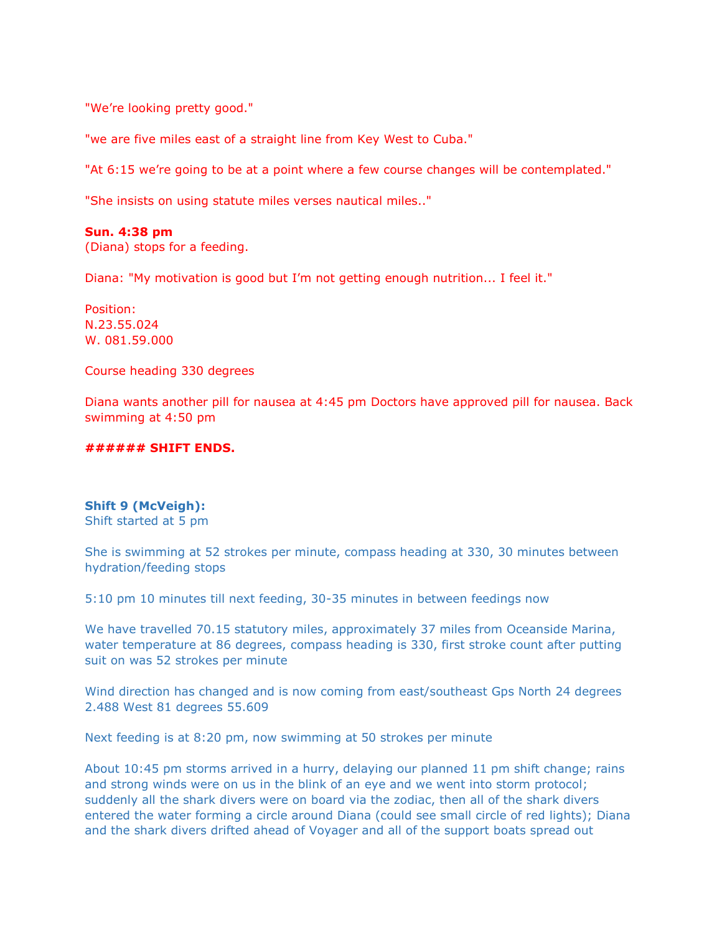"We're looking pretty good."

"we are five miles east of a straight line from Key West to Cuba."

"At 6:15 we're going to be at a point where a few course changes will be contemplated."

"She insists on using statute miles verses nautical miles.."

### **Sun. 4:38 pm**

(Diana) stops for a feeding.

Diana: "My motivation is good but I'm not getting enough nutrition... I feel it."

Position: N.23.55.024 W. 081.59.000

Course heading 330 degrees

Diana wants another pill for nausea at 4:45 pm Doctors have approved pill for nausea. Back swimming at 4:50 pm

### **###### SHIFT ENDS.**

# **Shift 9 (McVeigh):**

Shift started at 5 pm

She is swimming at 52 strokes per minute, compass heading at 330, 30 minutes between hydration/feeding stops

5:10 pm 10 minutes till next feeding, 30-35 minutes in between feedings now

We have travelled 70.15 statutory miles, approximately 37 miles from Oceanside Marina, water temperature at 86 degrees, compass heading is 330, first stroke count after putting suit on was 52 strokes per minute

Wind direction has changed and is now coming from east/southeast Gps North 24 degrees 2.488 West 81 degrees 55.609

Next feeding is at 8:20 pm, now swimming at 50 strokes per minute

About 10:45 pm storms arrived in a hurry, delaying our planned 11 pm shift change; rains and strong winds were on us in the blink of an eye and we went into storm protocol; suddenly all the shark divers were on board via the zodiac, then all of the shark divers entered the water forming a circle around Diana (could see small circle of red lights); Diana and the shark divers drifted ahead of Voyager and all of the support boats spread out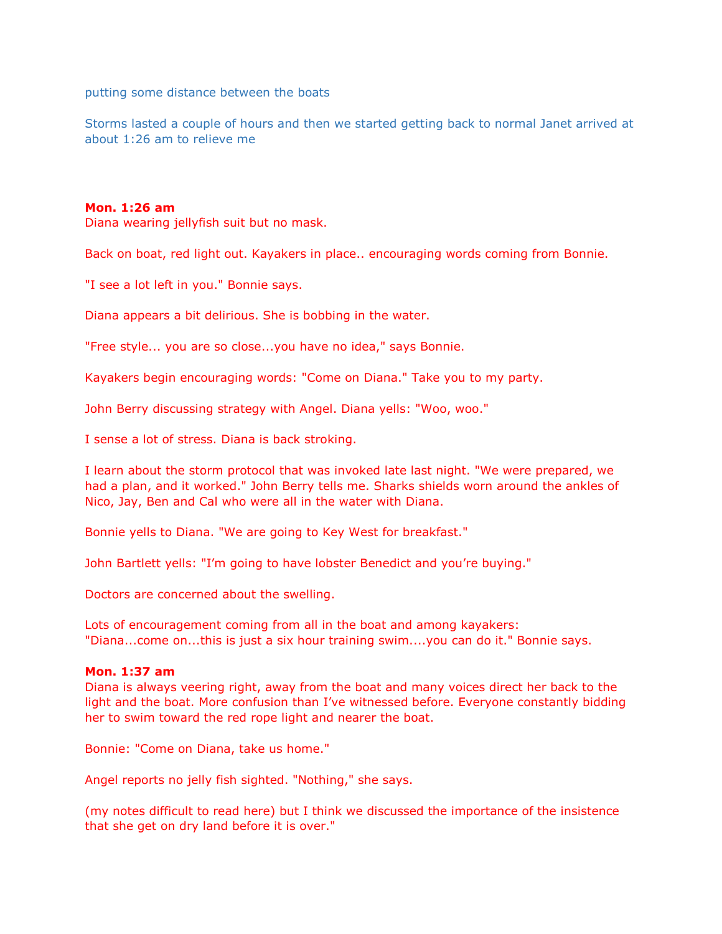putting some distance between the boats

Storms lasted a couple of hours and then we started getting back to normal Janet arrived at about 1:26 am to relieve me

### **Mon. 1:26 am**

Diana wearing jellyfish suit but no mask.

Back on boat, red light out. Kayakers in place.. encouraging words coming from Bonnie.

"I see a lot left in you." Bonnie says.

Diana appears a bit delirious. She is bobbing in the water.

"Free style... you are so close...you have no idea," says Bonnie.

Kayakers begin encouraging words: "Come on Diana." Take you to my party.

John Berry discussing strategy with Angel. Diana yells: "Woo, woo."

I sense a lot of stress. Diana is back stroking.

I learn about the storm protocol that was invoked late last night. "We were prepared, we had a plan, and it worked." John Berry tells me. Sharks shields worn around the ankles of Nico, Jay, Ben and Cal who were all in the water with Diana.

Bonnie yells to Diana. "We are going to Key West for breakfast."

John Bartlett yells: "I'm going to have lobster Benedict and you're buying."

Doctors are concerned about the swelling.

Lots of encouragement coming from all in the boat and among kayakers: "Diana...come on...this is just a six hour training swim....you can do it." Bonnie says.

### **Mon. 1:37 am**

Diana is always veering right, away from the boat and many voices direct her back to the light and the boat. More confusion than I've witnessed before. Everyone constantly bidding her to swim toward the red rope light and nearer the boat.

Bonnie: "Come on Diana, take us home."

Angel reports no jelly fish sighted. "Nothing," she says.

(my notes difficult to read here) but I think we discussed the importance of the insistence that she get on dry land before it is over."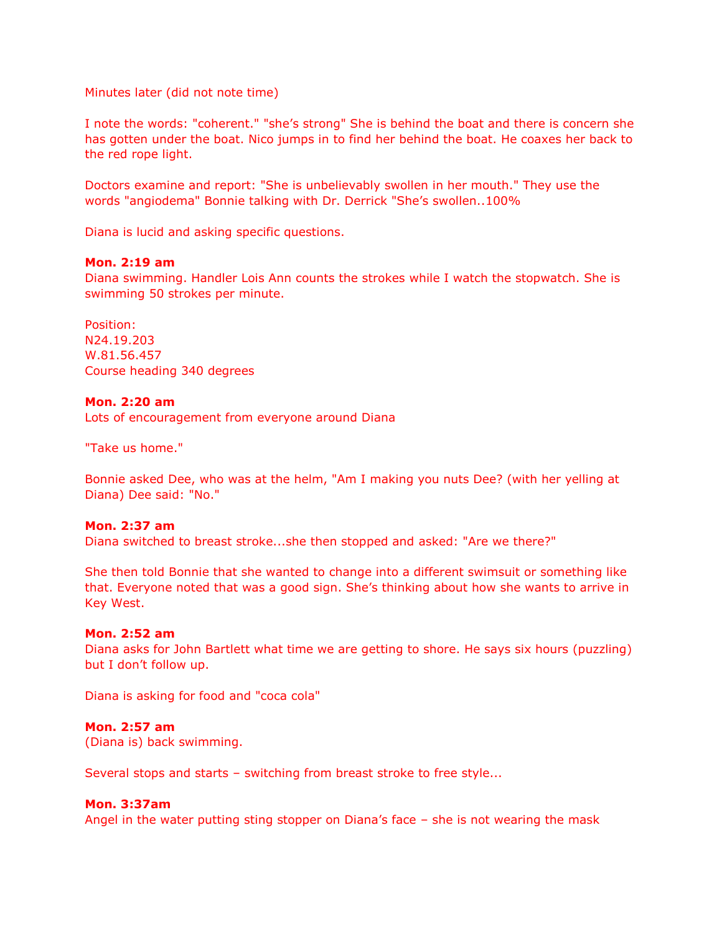Minutes later (did not note time)

I note the words: "coherent." "she's strong" She is behind the boat and there is concern she has gotten under the boat. Nico jumps in to find her behind the boat. He coaxes her back to the red rope light.

Doctors examine and report: "She is unbelievably swollen in her mouth." They use the words "angiodema" Bonnie talking with Dr. Derrick "She's swollen..100%

Diana is lucid and asking specific questions.

### **Mon. 2:19 am**

Diana swimming. Handler Lois Ann counts the strokes while I watch the stopwatch. She is swimming 50 strokes per minute.

Position: N24.19.203 W.81.56.457 Course heading 340 degrees

### **Mon. 2:20 am**

Lots of encouragement from everyone around Diana

"Take us home."

Bonnie asked Dee, who was at the helm, "Am I making you nuts Dee? (with her yelling at Diana) Dee said: "No."

### **Mon. 2:37 am**

Diana switched to breast stroke...she then stopped and asked: "Are we there?"

She then told Bonnie that she wanted to change into a different swimsuit or something like that. Everyone noted that was a good sign. She's thinking about how she wants to arrive in Key West.

### **Mon. 2:52 am**

Diana asks for John Bartlett what time we are getting to shore. He says six hours (puzzling) but I don't follow up.

Diana is asking for food and "coca cola"

### **Mon. 2:57 am**

(Diana is) back swimming.

Several stops and starts – switching from breast stroke to free style...

### **Mon. 3:37am**

Angel in the water putting sting stopper on Diana's face – she is not wearing the mask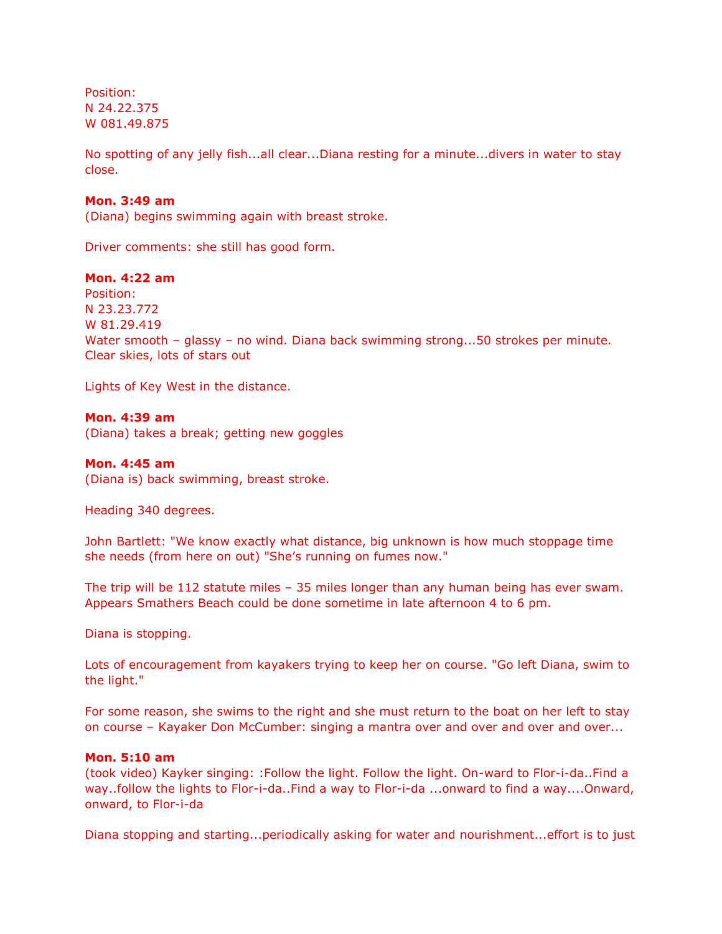Position: N 24.22.375 W 081.49.875

No spotting of any jelly fish...all clear...Diana resting for a minute...divers in water to stay close.

### **Mon. 3:49 am**

(Diana) begins swimming again with breast stroke.

Driver comments: she still has good form.

### **Mon. 4:22 am**

Position: N 23.23.772 W 81.29.419 Water smooth – glassy – no wind. Diana back swimming strong...50 strokes per minute. Clear skies, lots of stars out

Lights of Key West in the distance.

### **Mon. 4:39 am**

(Diana) takes a break; getting new goggles

### **Mon. 4:45 am**

(Diana is) back swimming, breast stroke.

Heading 340 degrees.

John Bartlett: "We know exactly what distance, big unknown is how much stoppage time she needs (from here on out) "She's running on fumes now."

The trip will be 112 statute miles – 35 miles longer than any human being has ever swam. Appears Smathers Beach could be done sometime in late afternoon 4 to 6 pm.

Diana is stopping.

Lots of encouragement from kayakers trying to keep her on course. "Go left Diana, swim to the light."

For some reason, she swims to the right and she must return to the boat on her left to stay on course – Kayaker Don McCumber: singing a mantra over and over and over and over...

### **Mon. 5:10 am**

(took video) Kayker singing: :Follow the light. Follow the light. On-ward to Flor-i-da..Find a way..follow the lights to Flor-i-da..Find a way to Flor-i-da ...onward to find a way....Onward, onward, to Flor-i-da

Diana stopping and starting...periodically asking for water and nourishment...effort is to just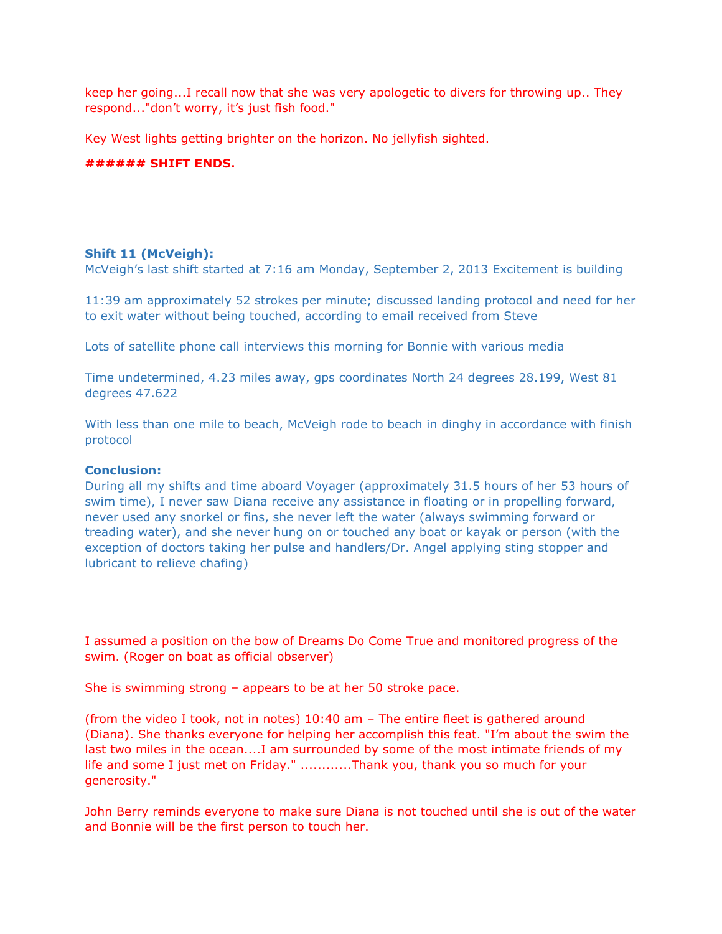keep her going...I recall now that she was very apologetic to divers for throwing up.. They respond..."don't worry, it's just fish food."

Key West lights getting brighter on the horizon. No jellyfish sighted.

### **###### SHIFT ENDS.**

### **Shift 11 (McVeigh):**

McVeigh's last shift started at 7:16 am Monday, September 2, 2013 Excitement is building

11:39 am approximately 52 strokes per minute; discussed landing protocol and need for her to exit water without being touched, according to email received from Steve

Lots of satellite phone call interviews this morning for Bonnie with various media

Time undetermined, 4.23 miles away, gps coordinates North 24 degrees 28.199, West 81 degrees 47.622

With less than one mile to beach, McVeigh rode to beach in dinghy in accordance with finish protocol

### **Conclusion:**

During all my shifts and time aboard Voyager (approximately 31.5 hours of her 53 hours of swim time), I never saw Diana receive any assistance in floating or in propelling forward, never used any snorkel or fins, she never left the water (always swimming forward or treading water), and she never hung on or touched any boat or kayak or person (with the exception of doctors taking her pulse and handlers/Dr. Angel applying sting stopper and lubricant to relieve chafing)

I assumed a position on the bow of Dreams Do Come True and monitored progress of the swim. (Roger on boat as official observer)

She is swimming strong – appears to be at her 50 stroke pace.

(from the video I took, not in notes) 10:40 am – The entire fleet is gathered around (Diana). She thanks everyone for helping her accomplish this feat. "I'm about the swim the last two miles in the ocean....I am surrounded by some of the most intimate friends of my life and some I just met on Friday." ............Thank you, thank you so much for your generosity."

John Berry reminds everyone to make sure Diana is not touched until she is out of the water and Bonnie will be the first person to touch her.